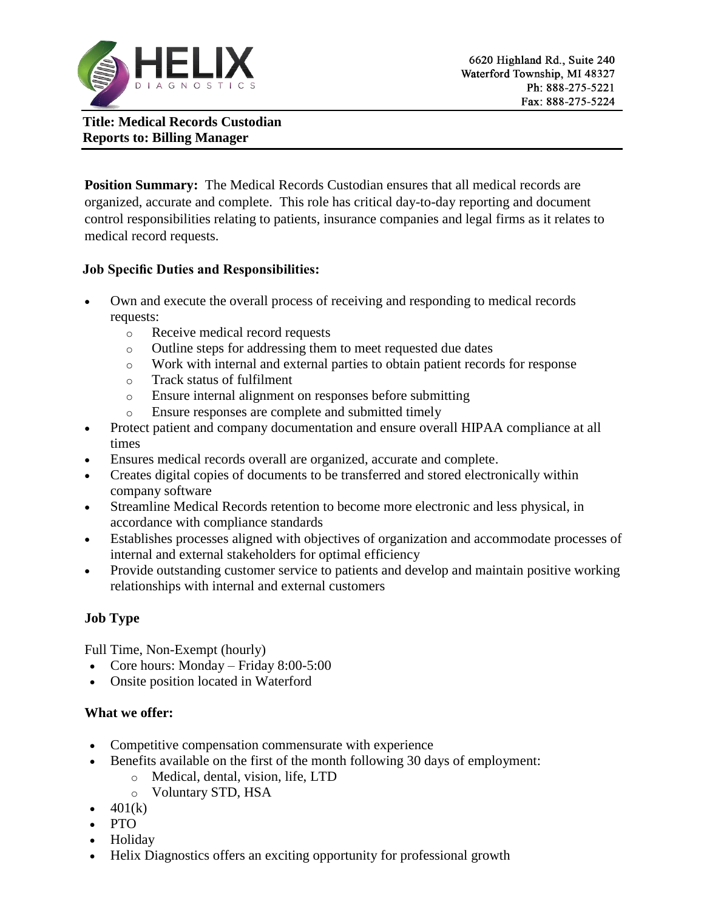

**Title: Medical Records Custodian Reports to: Billing Manager**

**Position Summary:** The Medical Records Custodian ensures that all medical records are organized, accurate and complete. This role has critical day-to-day reporting and document control responsibilities relating to patients, insurance companies and legal firms as it relates to medical record requests.

### **Job Specific Duties and Responsibilities:**

- Own and execute the overall process of receiving and responding to medical records requests:
	- o Receive medical record requests
	- o Outline steps for addressing them to meet requested due dates
	- o Work with internal and external parties to obtain patient records for response
	- o Track status of fulfilment
	- o Ensure internal alignment on responses before submitting
	- o Ensure responses are complete and submitted timely
- Protect patient and company documentation and ensure overall HIPAA compliance at all times
- Ensures medical records overall are organized, accurate and complete.
- Creates digital copies of documents to be transferred and stored electronically within company software
- Streamline Medical Records retention to become more electronic and less physical, in accordance with compliance standards
- Establishes processes aligned with objectives of organization and accommodate processes of internal and external stakeholders for optimal efficiency
- Provide outstanding customer service to patients and develop and maintain positive working relationships with internal and external customers

# **Job Type**

Full Time, Non-Exempt (hourly)

- Core hours: Monday Friday  $8:00-5:00$
- Onsite position located in Waterford

# **What we offer:**

- Competitive compensation commensurate with experience
- Benefits available on the first of the month following 30 days of employment:
	- o Medical, dental, vision, life, LTD
	- o Voluntary STD, HSA
- $\bullet$  401(k)
- $\bullet$  PTO
- Holiday
- Helix Diagnostics offers an exciting opportunity for professional growth